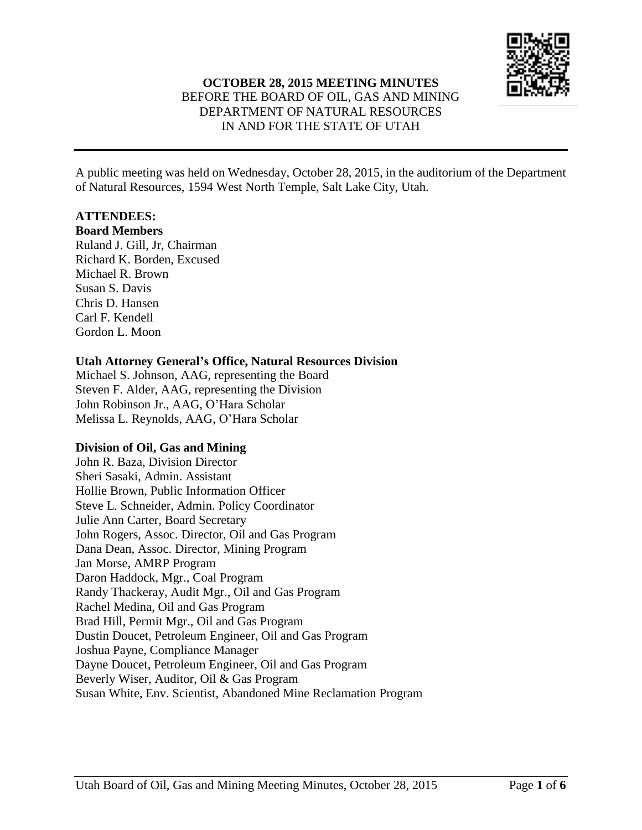

# **OCTOBER 28, 2015 MEETING MINUTES** BEFORE THE BOARD OF OIL, GAS AND MINING DEPARTMENT OF NATURAL RESOURCES IN AND FOR THE STATE OF UTAH

A public meeting was held on Wednesday, October 28, 2015, in the auditorium of the Department of Natural Resources, 1594 West North Temple, Salt Lake City, Utah.

### **ATTENDEES:**

### **Board Members**

Ruland J. Gill, Jr, Chairman Richard K. Borden, Excused Michael R. Brown Susan S. Davis Chris D. Hansen Carl F. Kendell Gordon L. Moon

#### **Utah Attorney General's Office, Natural Resources Division**

Michael S. Johnson, AAG, representing the Board Steven F. Alder, AAG, representing the Division John Robinson Jr., AAG, O'Hara Scholar Melissa L. Reynolds, AAG, O'Hara Scholar

# **Division of Oil, Gas and Mining**

John R. Baza, Division Director Sheri Sasaki, Admin. Assistant Hollie Brown, Public Information Officer Steve L. Schneider, Admin. Policy Coordinator Julie Ann Carter, Board Secretary John Rogers, Assoc. Director, Oil and Gas Program Dana Dean, Assoc. Director, Mining Program Jan Morse, AMRP Program Daron Haddock, Mgr., Coal Program Randy Thackeray, Audit Mgr., Oil and Gas Program Rachel Medina, Oil and Gas Program Brad Hill, Permit Mgr., Oil and Gas Program Dustin Doucet, Petroleum Engineer, Oil and Gas Program Joshua Payne, Compliance Manager Dayne Doucet, Petroleum Engineer, Oil and Gas Program Beverly Wiser, Auditor, Oil & Gas Program Susan White, Env. Scientist, Abandoned Mine Reclamation Program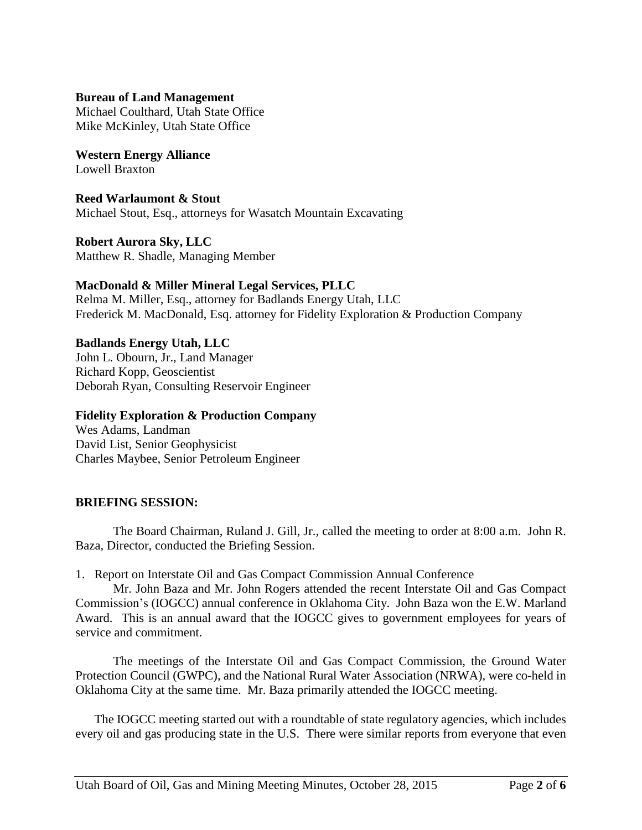#### **Bureau of Land Management**

Michael Coulthard, Utah State Office Mike McKinley, Utah State Office

**Western Energy Alliance** Lowell Braxton

**Reed Warlaumont & Stout** Michael Stout, Esq., attorneys for Wasatch Mountain Excavating

**Robert Aurora Sky, LLC** Matthew R. Shadle, Managing Member

### **MacDonald & Miller Mineral Legal Services, PLLC**

Relma M. Miller, Esq., attorney for Badlands Energy Utah, LLC Frederick M. MacDonald, Esq. attorney for Fidelity Exploration & Production Company

**Badlands Energy Utah, LLC** John L. Obourn, Jr., Land Manager Richard Kopp, Geoscientist Deborah Ryan, Consulting Reservoir Engineer

## **Fidelity Exploration & Production Company**

Wes Adams, Landman David List, Senior Geophysicist Charles Maybee, Senior Petroleum Engineer

# **BRIEFING SESSION:**

The Board Chairman, Ruland J. Gill, Jr., called the meeting to order at 8:00 a.m. John R. Baza, Director, conducted the Briefing Session.

1. Report on Interstate Oil and Gas Compact Commission Annual Conference

Mr. John Baza and Mr. John Rogers attended the recent Interstate Oil and Gas Compact Commission's (IOGCC) annual conference in Oklahoma City. John Baza won the E.W. Marland Award. This is an annual award that the IOGCC gives to government employees for years of service and commitment.

The meetings of the Interstate Oil and Gas Compact Commission, the Ground Water Protection Council (GWPC), and the National Rural Water Association (NRWA), were co-held in Oklahoma City at the same time. Mr. Baza primarily attended the IOGCC meeting.

The IOGCC meeting started out with a roundtable of state regulatory agencies, which includes every oil and gas producing state in the U.S. There were similar reports from everyone that even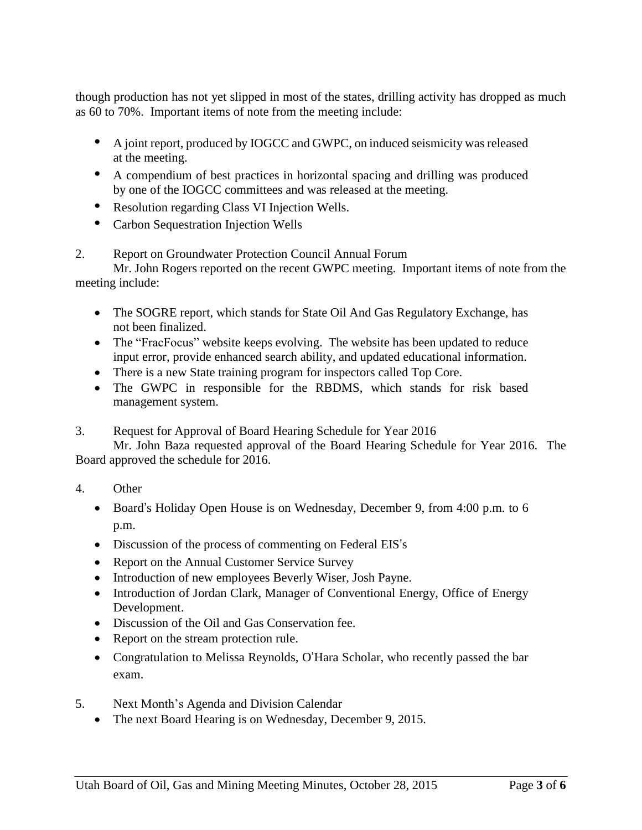though production has not yet slipped in most of the states, drilling activity has dropped as much as 60 to 70%. Important items of note from the meeting include:

- A joint report, produced by IOGCC and GWPC, on induced seismicity was released at the meeting.
- A compendium of best practices in horizontal spacing and drilling was produced by one of the IOGCC committees and was released at the meeting.
- Resolution regarding Class VI Injection Wells.
- Carbon Sequestration Injection Wells

# 2. Report on Groundwater Protection Council Annual Forum

Mr. John Rogers reported on the recent GWPC meeting. Important items of note from the meeting include:

- The SOGRE report, which stands for State Oil And Gas Regulatory Exchange, has not been finalized.
- The "FracFocus" website keeps evolving. The website has been updated to reduce input error, provide enhanced search ability, and updated educational information.
- There is a new State training program for inspectors called Top Core.
- The GWPC in responsible for the RBDMS, which stands for risk based management system.
- 3. Request for Approval of Board Hearing Schedule for Year 2016

Mr. John Baza requested approval of the Board Hearing Schedule for Year 2016. The Board approved the schedule for 2016.

- 4. Other
	- Board's Holiday Open House is on Wednesday, December 9, from 4:00 p.m. to 6 p.m.
	- Discussion of the process of commenting on Federal EIS's
	- Report on the Annual Customer Service Survey
	- Introduction of new employees Beverly Wiser, Josh Payne.
	- Introduction of Jordan Clark, Manager of Conventional Energy, Office of Energy Development.
	- Discussion of the Oil and Gas Conservation fee.
	- Report on the stream protection rule.
	- Congratulation to Melissa Reynolds, O'Hara Scholar, who recently passed the bar exam.
- 5. Next Month's Agenda and Division Calendar
	- The next Board Hearing is on Wednesday, December 9, 2015.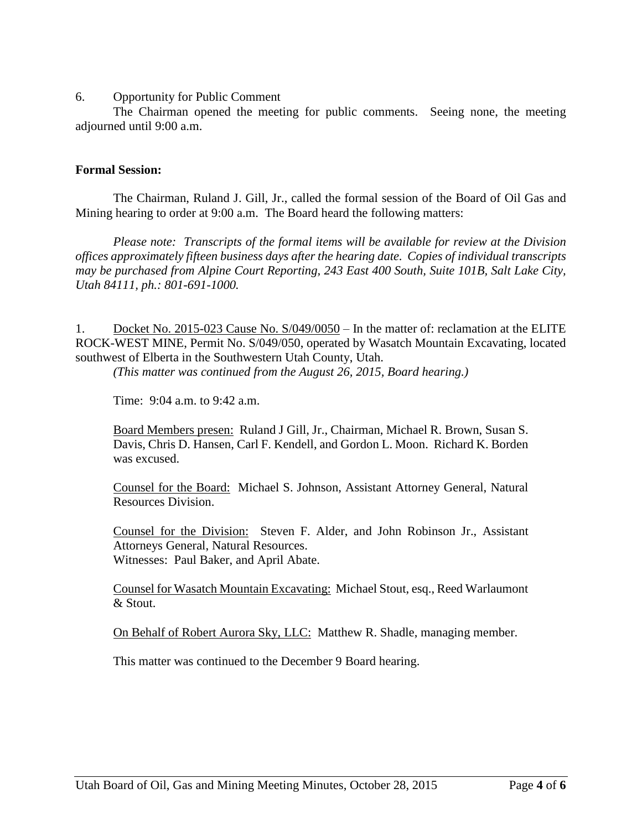6. Opportunity for Public Comment

The Chairman opened the meeting for public comments. Seeing none, the meeting adjourned until 9:00 a.m.

#### **Formal Session:**

The Chairman, Ruland J. Gill, Jr., called the formal session of the Board of Oil Gas and Mining hearing to order at 9:00 a.m. The Board heard the following matters:

*Please note: Transcripts of the formal items will be available for review at the Division offices approximately fifteen business days after the hearing date. Copies of individual transcripts may be purchased from Alpine Court Reporting, 243 East 400 South, Suite 101B, Salt Lake City, Utah 84111, ph.: 801-691-1000.*

1. Docket No. 2015-023 Cause No. S/049/0050 – In the matter of: reclamation at the ELITE ROCK-WEST MINE, Permit No. S/049/050, operated by Wasatch Mountain Excavating, located southwest of Elberta in the Southwestern Utah County, Utah.

*(This matter was continued from the August 26, 2015, Board hearing.)*

Time: 9:04 a.m. to 9:42 a.m.

Board Members presen: Ruland J Gill, Jr., Chairman, Michael R. Brown, Susan S. Davis, Chris D. Hansen, Carl F. Kendell, and Gordon L. Moon. Richard K. Borden was excused.

Counsel for the Board: Michael S. Johnson, Assistant Attorney General, Natural Resources Division.

Counsel for the Division: Steven F. Alder, and John Robinson Jr., Assistant Attorneys General, Natural Resources. Witnesses: Paul Baker, and April Abate.

Counsel for Wasatch Mountain Excavating: Michael Stout, esq., Reed Warlaumont & Stout.

On Behalf of Robert Aurora Sky, LLC: Matthew R. Shadle, managing member.

This matter was continued to the December 9 Board hearing.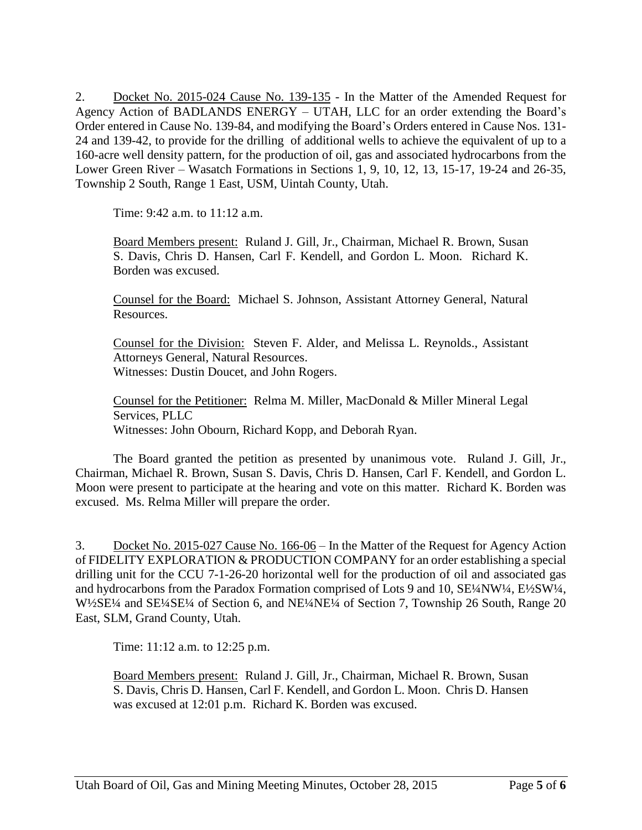2. Docket No. 2015-024 Cause No. 139-135 - In the Matter of the Amended Request for Agency Action of BADLANDS ENERGY – UTAH, LLC for an order extending the Board's Order entered in Cause No. 139-84, and modifying the Board's Orders entered in Cause Nos. 131- 24 and 139-42, to provide for the drilling of additional wells to achieve the equivalent of up to a 160-acre well density pattern, for the production of oil, gas and associated hydrocarbons from the Lower Green River – Wasatch Formations in Sections 1, 9, 10, 12, 13, 15-17, 19-24 and 26-35, Township 2 South, Range 1 East, USM, Uintah County, Utah.

Time: 9:42 a.m. to 11:12 a.m.

Board Members present: Ruland J. Gill, Jr., Chairman, Michael R. Brown, Susan S. Davis, Chris D. Hansen, Carl F. Kendell, and Gordon L. Moon. Richard K. Borden was excused.

Counsel for the Board: Michael S. Johnson, Assistant Attorney General, Natural Resources.

Counsel for the Division: Steven F. Alder, and Melissa L. Reynolds., Assistant Attorneys General, Natural Resources. Witnesses: Dustin Doucet, and John Rogers.

Counsel for the Petitioner: Relma M. Miller, MacDonald & Miller Mineral Legal Services, PLLC Witnesses: John Obourn, Richard Kopp, and Deborah Ryan.

The Board granted the petition as presented by unanimous vote. Ruland J. Gill, Jr., Chairman, Michael R. Brown, Susan S. Davis, Chris D. Hansen, Carl F. Kendell, and Gordon L. Moon were present to participate at the hearing and vote on this matter. Richard K. Borden was excused. Ms. Relma Miller will prepare the order.

3. Docket No. 2015-027 Cause No. 166-06 – In the Matter of the Request for Agency Action of FIDELITY EXPLORATION & PRODUCTION COMPANY for an order establishing a special drilling unit for the CCU 7-1-26-20 horizontal well for the production of oil and associated gas and hydrocarbons from the Paradox Formation comprised of Lots 9 and 10, SE¼NW¼, E½SW¼, W½SE¼ and SE¼SE¼ of Section 6, and NE¼NE¼ of Section 7, Township 26 South, Range 20 East, SLM, Grand County, Utah.

Time: 11:12 a.m. to 12:25 p.m.

Board Members present: Ruland J. Gill, Jr., Chairman, Michael R. Brown, Susan S. Davis, Chris D. Hansen, Carl F. Kendell, and Gordon L. Moon. Chris D. Hansen was excused at 12:01 p.m. Richard K. Borden was excused.